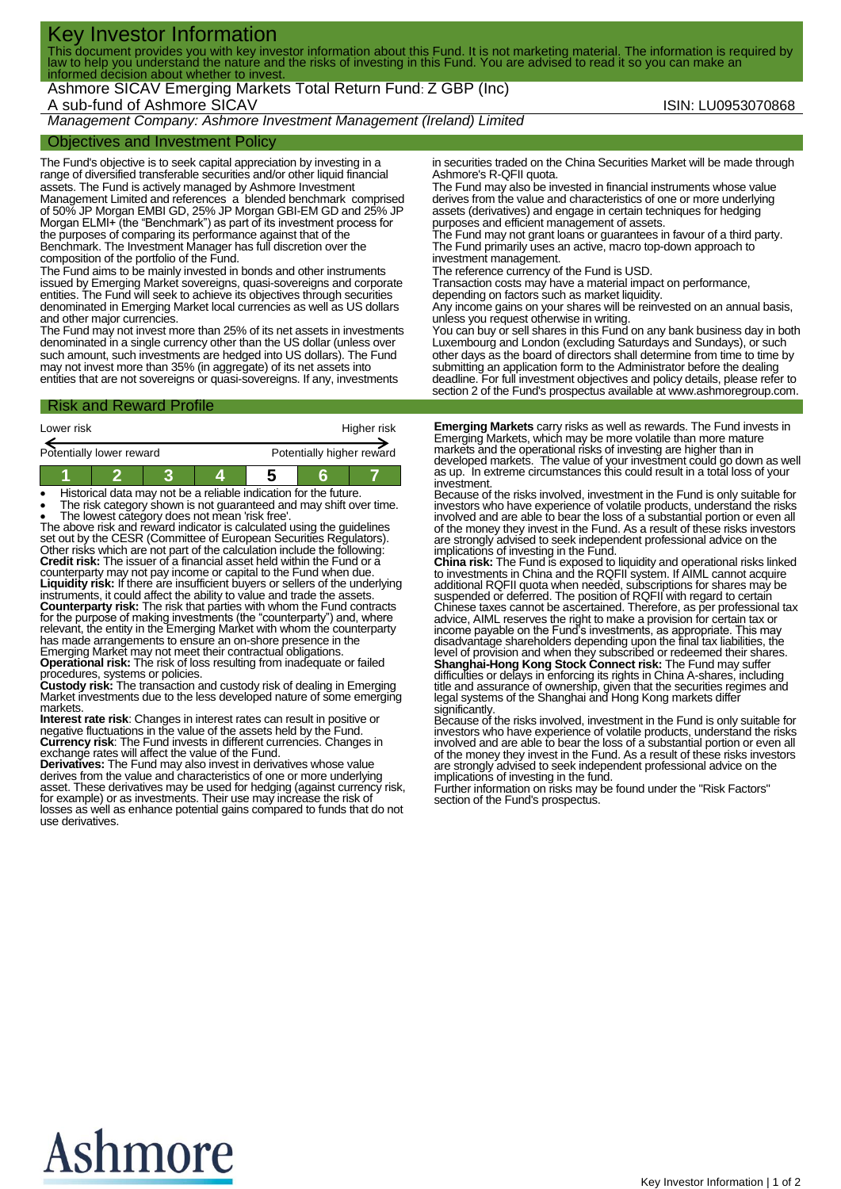## Key Investor Information

This document provides you with key investor information about this Fund. It is not marketing material. The information is required by law to help you understand the nature and the risks of investing in this Fund. You are advised to read it so you can make an informed decision about whether to invest.

# Ashmore SICAV Emerging Markets Total Return Fund: Z GBP (Inc)

A sub-fund of Ashmore SICAV **ISIN: LU0953070868** 

*Management Company: Ashmore Investment Management (Ireland) Limited*

#### Objectives and Investment Policy

The Fund's objective is to seek capital appreciation by investing in a range of diversified transferable securities and/or other liquid financial assets. The Fund is actively managed by Ashmore Investment Management Limited and references a blended benchmark comprised of 50% JP Morgan EMBI GD, 25% JP Morgan GBI-EM GD and 25% JP Morgan ELMI+ (the "Benchmark") as part of its investment process for the purposes of comparing its performance against that of the Benchmark. The Investment Manager has full discretion over the composition of the portfolio of the Fund.

The Fund aims to be mainly invested in bonds and other instruments issued by Emerging Market sovereigns, quasi-sovereigns and corporate entities. The Fund will seek to achieve its objectives through securities denominated in Emerging Market local currencies as well as US dollars and other major currencies.

The Fund may not invest more than 25% of its net assets in investments denominated in a single currency other than the US dollar (unless over such amount, such investments are hedged into US dollars). The Fund may not invest more than 35% (in aggregate) of its net assets into entities that are not sovereigns or quasi-sovereigns. If any, investments

## Risk and Reward Profile

| Lower risk               |  |  |  | Higher risk               |  |  |
|--------------------------|--|--|--|---------------------------|--|--|
| Potentially lower reward |  |  |  | Potentially higher reward |  |  |
|                          |  |  |  |                           |  |  |

Historical data may not be a reliable indication for the future.

The risk category shown is not guaranteed and may shift over time. The lowest category does not mean 'risk free'. The above risk and reward indicator is calculated using the guidelines

set out by the CESR (Committee of European Securities Regulators). Other risks which are not part of the calculation include the following: **Credit risk:** The issuer of a financial asset held within the Fund or a counterparty may not pay income or capital to the Fund when due. **Liquidity risk:** If there are insufficient buyers or sellers of the underlying instruments, it could affect the ability to value and trade the assets. **Counterparty risk:** The risk that parties with whom the Fund contracts for the purpose of making investments (the "counterparty") and, where relevant, the entity in the Emerging Market with whom the counterparty has made arrangements to ensure an on-shore presence in the Emerging Market may not meet their contractual obligations. **Operational risk:** The risk of loss resulting from inadequate or failed

procedures, systems or policies. **Custody risk:** The transaction and custody risk of dealing in Emerging

Market investments due to the less developed nature of some emerging markets.

**Interest rate risk**: Changes in interest rates can result in positive or negative fluctuations in the value of the assets held by the Fund. **Currency risk**: The Fund invests in different currencies. Changes in exchange rates will affect the value of the Fund.

**Derivatives:** The Fund may also invest in derivatives whose value derives from the value and characteristics of one or more underlying asset. These derivatives may be used for hedging (against currency risk, for example) or as investments. Their use may increase the risk of losses as well as enhance potential gains compared to funds that do not use derivatives.

in securities traded on the China Securities Market will be made through Ashmore's R-QFII quota.

The Fund may also be invested in financial instruments whose value derives from the value and characteristics of one or more underlying assets (derivatives) and engage in certain techniques for hedging purposes and efficient management of assets.

The Fund may not grant loans or guarantees in favour of a third party. The Fund primarily uses an active, macro top-down approach to investment management.

The reference currency of the Fund is USD.

Transaction costs may have a material impact on performance,

depending on factors such as market liquidity.

Any income gains on your shares will be reinvested on an annual basis, unless you request otherwise in writing.

You can buy or sell shares in this Fund on any bank business day in both Luxembourg and London (excluding Saturdays and Sundays), or such other days as the board of directors shall determine from time to time by submitting an application form to the Administrator before the dealing deadline. For full investment objectives and policy details, please refer to section 2 of the Fund's prospectus available at www.ashmoregroup.com.

**Emerging Markets** carry risks as well as rewards. The Fund invests in Emerging Markets, which may be more volatile than more mature markets and the operational risks of investing are higher than in developed markets. The value of your investment could go down as well as up. In extreme circumstances this could result in a total loss of your investment.

Because of the risks involved, investment in the Fund is only suitable for investors who have experience of volatile products, understand the risks involved and are able to bear the loss of a substantial portion or even all of the money they invest in the Fund. As a result of these risks investors are strongly advised to seek independent professional advice on the

implications of investing in the Fund. **China risk:** The Fund is exposed to liquidity and operational risks linked to investments in China and the RQFII system. If AIML cannot acquire additional RQFII quota when needed, subscriptions for shares may be suspended or deferred. The position of RQFII with regard to certain Chinese taxes cannot be ascertained. Therefore, as per professional tax advice, AIML reserves the right to make a provision for certain tax or income payable on the Fund's investments, as appropriate. This may disadvantage shareholders depending upon the final tax liabilities, the level of provision and when they subscribed or redeemed their shares.<br>**Shanghai-Hong Kong Stock Connect risk:** The Fund may suffer<br>difficulties or delays in enforcing its rights in China A-shares, including title and assurance of ownership, given that the securities regimes and legal systems of the Shanghai and Hong Kong markets differ significantly.

Because of the risks involved, investment in the Fund is only suitable for investors who have experience of volatile products, understand the risks involved and are able to bear the loss of a substantial portion or even all of the money they invest in the Fund. As a result of these risks investors are strongly advised to seek independent professional advice on the implications of investing in the fund.

Further information on risks may be found under the "Risk Factors" section of the Fund's prospectus.